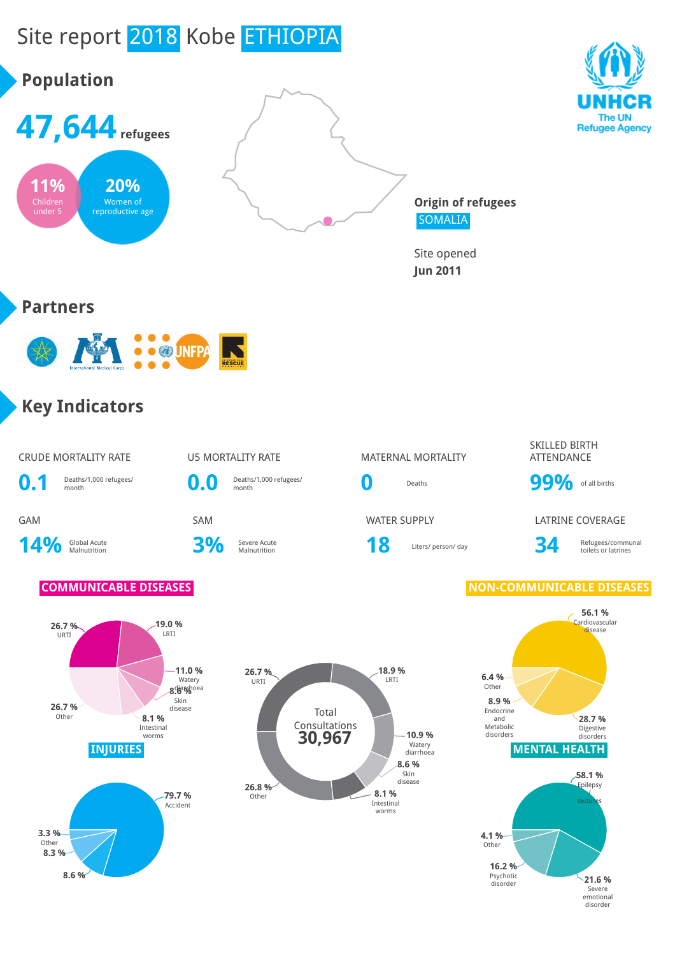

emotional disorder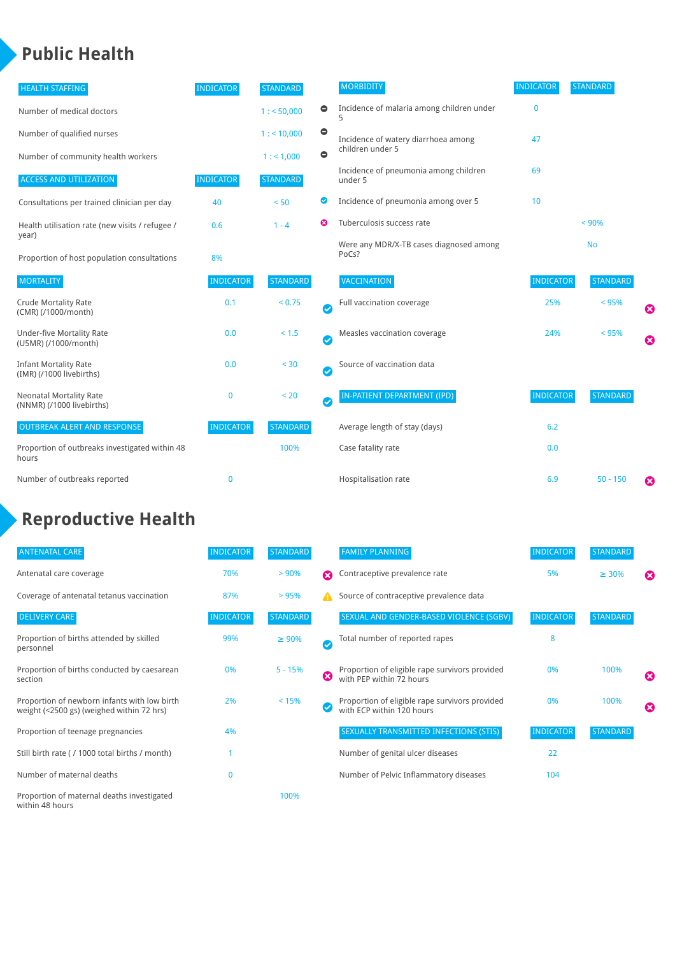### **Public Health**

| <b>HEALTH STAFFING</b>                                      | <b>INDICATOR</b> | <b>STANDARD</b> |           | <b>MORBIDITY</b>                                 | <b>INDICATOR</b> | <b>STANDARD</b> |   |
|-------------------------------------------------------------|------------------|-----------------|-----------|--------------------------------------------------|------------------|-----------------|---|
| Number of medical doctors                                   |                  | 1: 50,000       | $\bullet$ | Incidence of malaria among children under        | $\bf{0}$         |                 |   |
| Number of qualified nurses                                  |                  | 1:10,000        | $\bullet$ | Incidence of watery diarrhoea among              | 47               |                 |   |
| Number of community health workers                          |                  | 1: 1,000        | $\bullet$ | children under 5                                 |                  |                 |   |
| <b>ACCESS AND UTILIZATION</b>                               | <b>INDICATOR</b> | <b>STANDARD</b> |           | Incidence of pneumonia among children<br>under 5 | 69               |                 |   |
| Consultations per trained clinician per day                 | 40               | < 50            | Ø         | Incidence of pneumonia among over 5              | 10               |                 |   |
| Health utilisation rate (new visits / refugee /             | 0.6              | $1 - 4$         | ణ         | Tuberculosis success rate                        |                  | < 90%           |   |
| year)<br>Proportion of host population consultations        | 8%               |                 |           | Were any MDR/X-TB cases diagnosed among<br>PoCs? |                  | <b>No</b>       |   |
| <b>MORTALITY</b>                                            | <b>INDICATOR</b> | <b>STANDARD</b> |           | <b>VACCINATION</b>                               | <b>INDICATOR</b> | <b>STANDARD</b> |   |
| <b>Crude Mortality Rate</b><br>(CMR) (/1000/month)          | 0.1              | < 0.75          | Ø         | Full vaccination coverage                        | 25%              | < 95%           | ೞ |
| <b>Under-five Mortality Rate</b><br>(U5MR) (/1000/month)    | 0.0              | < 1.5           | Ø         | Measles vaccination coverage                     | 24%              | < 95%           | Ø |
| <b>Infant Mortality Rate</b><br>(IMR) (/1000 livebirths)    | 0.0              | < 30            | $\bullet$ | Source of vaccination data                       |                  |                 |   |
| <b>Neonatal Mortality Rate</b><br>(NNMR) (/1000 livebirths) | $\bf{0}$         | < 20            | $\bullet$ | IN-PATIENT DEPARTMENT (IPD)                      | <b>INDICATOR</b> | <b>STANDARD</b> |   |
| <b>OUTBREAK ALERT AND RESPONSE</b>                          | <b>INDICATOR</b> | <b>STANDARD</b> |           | Average length of stay (days)                    | 6.2              |                 |   |
| Proportion of outbreaks investigated within 48<br>hours     |                  | 100%            |           | Case fatality rate                               | 0.0              |                 |   |
| Number of outbreaks reported                                | $\bf{0}$         |                 |           | Hospitalisation rate                             | 6.9              | $50 - 150$      | ೞ |

## **Reproductive Health**

| <b>ANTENATAL CARE</b>                                                                     | <b>INDICATOR</b> | <b>STANDARD</b> |              | <b>FAMILY PLANNING</b>                                                      | <b>INDICATOR</b> | <b>STANDARD</b> |                       |
|-------------------------------------------------------------------------------------------|------------------|-----------------|--------------|-----------------------------------------------------------------------------|------------------|-----------------|-----------------------|
| Antenatal care coverage                                                                   | 70%              | > 90%           | Ω            | Contraceptive prevalence rate                                               | 5%               | $\geq 30\%$     | $\boldsymbol{\omega}$ |
| Coverage of antenatal tetanus vaccination                                                 | 87%              | >95%            | А            | Source of contraceptive prevalence data                                     |                  |                 |                       |
| <b>DELIVERY CARE</b>                                                                      | <b>INDICATOR</b> | <b>STANDARD</b> |              | SEXUAL AND GENDER-BASED VIOLENCE (SGBV)                                     | <b>INDICATOR</b> | <b>STANDARD</b> |                       |
| Proportion of births attended by skilled<br>personnel                                     | 99%              | $\geq 90\%$     | $\checkmark$ | Total number of reported rapes                                              | 8                |                 |                       |
| Proportion of births conducted by caesarean<br>section                                    | 0%               | $5 - 15%$       | Ø            | Proportion of eligible rape survivors provided<br>with PEP within 72 hours  | 0%               | 100%            | ೞ                     |
| Proportion of newborn infants with low birth<br>weight (<2500 gs) (weighed within 72 hrs) | 2%               | < 15%           |              | Proportion of eligible rape survivors provided<br>with ECP within 120 hours | 0%               | 100%            | $\boldsymbol{\Omega}$ |
| Proportion of teenage pregnancies                                                         | 4%               |                 |              | SEXUALLY TRANSMITTED INFECTIONS (STIS)                                      | <b>INDICATOR</b> | <b>STANDARD</b> |                       |
| Still birth rate (/ 1000 total births / month)                                            |                  |                 |              | Number of genital ulcer diseases                                            | 22               |                 |                       |
| Number of maternal deaths                                                                 | $\mathbf{0}$     |                 |              | Number of Pelvic Inflammatory diseases                                      | 104              |                 |                       |
| Proportion of maternal deaths investigated<br>within 48 hours                             |                  | 100%            |              |                                                                             |                  |                 |                       |